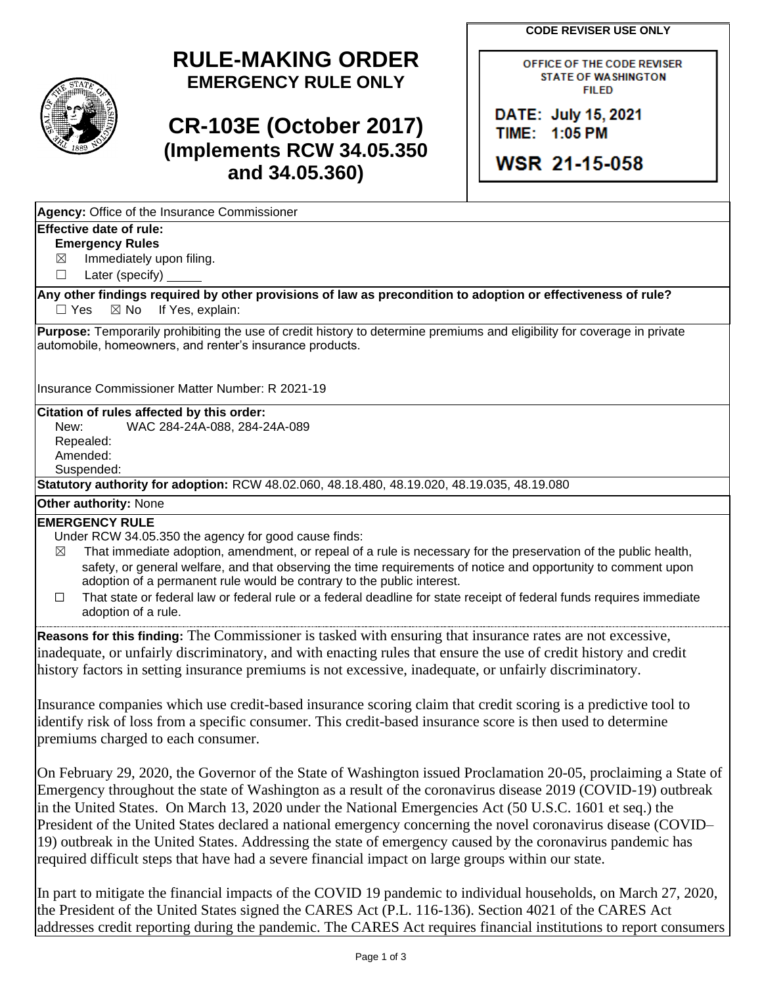**CODE REVISER USE ONLY** 

OFFICE OF THE CODE REVISER STATE OF WASHINGTON

## **RULE-MAKING ORDER EMERGENCY RULE ONLY**

# **CR-103E (October 2017) (Implements RCW 34.05.350 and 34.05.360)**

FIILED DATE: July 15, 2021 **TIME: 11 :05, PM** 

**WSR 2 1-115-058** 

| Agency: Office of the Insurance Commissioner |
|----------------------------------------------|
|----------------------------------------------|

### **Effective date of rule:**

### **Emergency Rules**

 $\boxtimes$ Immediately upon filing.

 $\Box$ Later (specify)

 $\Box$  Yes **Any other findings required by other provisions of law as precondition to adoption or effectiveness of rule?**   $\boxtimes$  No If Yes, explain:

 **Purpose:** Temporarily prohibiting the use of credit history to determine premiums and eligibility for coverage in private automobile, homeowners, and renter's insurance products.

Insurance Commissioner Matter Number: R 2021-19

### **Citation of rules affected by this order:**

 New: WAC 284-24A-088, 284-24A-089 Repealed: Amended: Suspended:

**Statutory authority for adoption:** RCW 48.02.060, 48.18.480, 48.19.020, 48.19.035, 48.19.080

### **Other authority:** None

### **EMERGENCY RULE**

Under RCW 34.05.350 the agency for good cause finds:

- $\boxtimes$  That immediate adoption, amendment, or repeal of a rule is necessary for the preservation of the public health, safety, or general welfare, and that observing the time requirements of notice and opportunity to comment upon adoption of a permanent rule would be contrary to the public interest.
- ☐ That state or federal law or federal rule or a federal deadline for state receipt of federal funds requires immediate adoption of a rule.

**Reasons for this finding:** The Commissioner is tasked with ensuring that insurance rates are not excessive, inadequate, or unfairly discriminatory, and with enacting rules that ensure the use of credit history and credit history factors in setting insurance premiums is not excessive, inadequate, or unfairly discriminatory.

Insurance companies which use credit-based insurance scoring claim that credit scoring is a predictive tool to identify risk of loss from a specific consumer. This credit-based insurance score is then used to determine premiums charged to each consumer.

On February 29, 2020, the Governor of the State of Washington issued Proclamation 20-05, proclaiming a State of Emergency throughout the state of Washington as a result of the coronavirus disease 2019 (COVID-19) outbreak in the United States. On March 13, 2020 under the National Emergencies Act (50 U.S.C. 1601 et seq.) the President of the United States declared a national emergency concerning the novel coronavirus disease (COVID– 19) outbreak in the United States. Addressing the state of emergency caused by the coronavirus pandemic has required difficult steps that have had a severe financial impact on large groups within our state.

In part to mitigate the financial impacts of the COVID 19 pandemic to individual households, on March 27, 2020, the President of the United States signed the CARES Act (P.L. 116-136). Section 4021 of the CARES Act addresses credit reporting during the pandemic. The CARES Act requires financial institutions to report consumers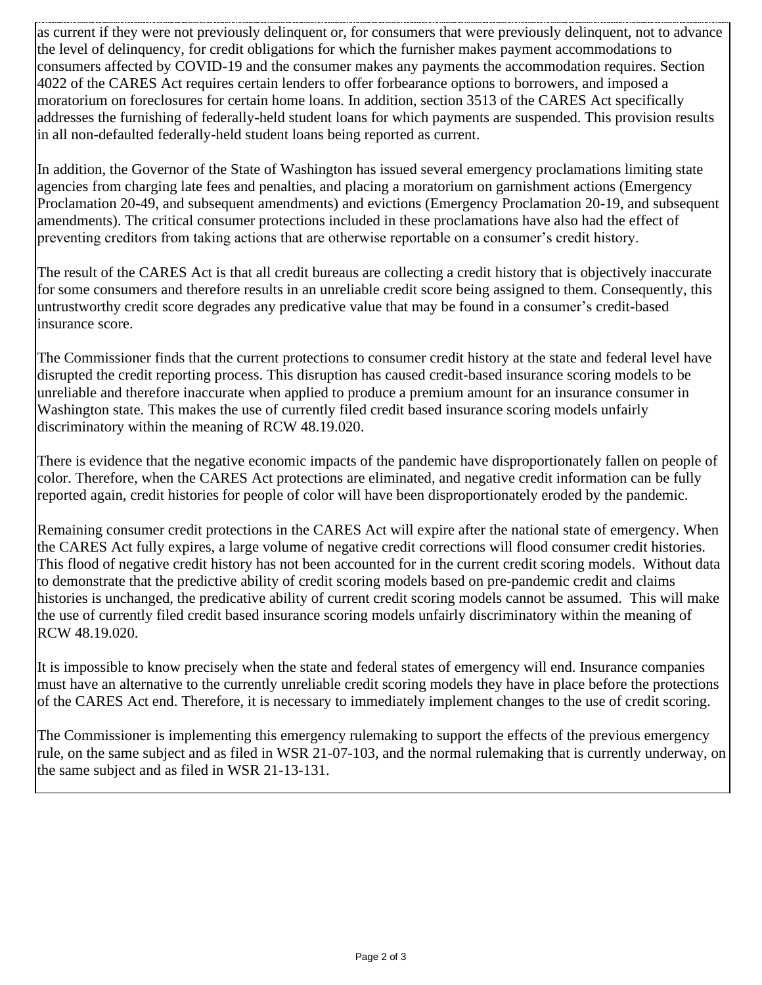as current if they were not previously delinquent or, for consumers that were previously delinquent, not to advance the level of delinquency, for credit obligations for which the furnisher makes payment accommodations to consumers affected by COVID-19 and the consumer makes any payments the accommodation requires. Section 4022 of the CARES Act requires certain lenders to offer forbearance options to borrowers, and imposed a moratorium on foreclosures for certain home loans. In addition, section 3513 of the CARES Act specifically addresses the furnishing of federally-held student loans for which payments are suspended. This provision results in all non-defaulted federally-held student loans being reported as current.

In addition, the Governor of the State of Washington has issued several emergency proclamations limiting state agencies from charging late fees and penalties, and placing a moratorium on garnishment actions (Emergency Proclamation 20-49, and subsequent amendments) and evictions (Emergency Proclamation 20-19, and subsequent amendments). The critical consumer protections included in these proclamations have also had the effect of preventing creditors from taking actions that are otherwise reportable on a consumer's credit history.

The result of the CARES Act is that all credit bureaus are collecting a credit history that is objectively inaccurate for some consumers and therefore results in an unreliable credit score being assigned to them. Consequently, this untrustworthy credit score degrades any predicative value that may be found in a consumer's credit-based insurance score.

The Commissioner finds that the current protections to consumer credit history at the state and federal level have disrupted the credit reporting process. This disruption has caused credit-based insurance scoring models to be unreliable and therefore inaccurate when applied to produce a premium amount for an insurance consumer in Washington state. This makes the use of currently filed credit based insurance scoring models unfairly discriminatory within the meaning of RCW 48.19.020.

There is evidence that the negative economic impacts of the pandemic have disproportionately fallen on people of color. Therefore, when the CARES Act protections are eliminated, and negative credit information can be fully reported again, credit histories for people of color will have been disproportionately eroded by the pandemic.

Remaining consumer credit protections in the CARES Act will expire after the national state of emergency. When the CARES Act fully expires, a large volume of negative credit corrections will flood consumer credit histories. This flood of negative credit history has not been accounted for in the current credit scoring models. Without data to demonstrate that the predictive ability of credit scoring models based on pre-pandemic credit and claims histories is unchanged, the predicative ability of current credit scoring models cannot be assumed. This will make the use of currently filed credit based insurance scoring models unfairly discriminatory within the meaning of RCW 48.19.020.

It is impossible to know precisely when the state and federal states of emergency will end. Insurance companies must have an alternative to the currently unreliable credit scoring models they have in place before the protections of the CARES Act end. Therefore, it is necessary to immediately implement changes to the use of credit scoring.

The Commissioner is implementing this emergency rulemaking to support the effects of the previous emergency rule, on the same subject and as filed in WSR 21-07-103, and the normal rulemaking that is currently underway, on the same subject and as filed in WSR 21-13-131.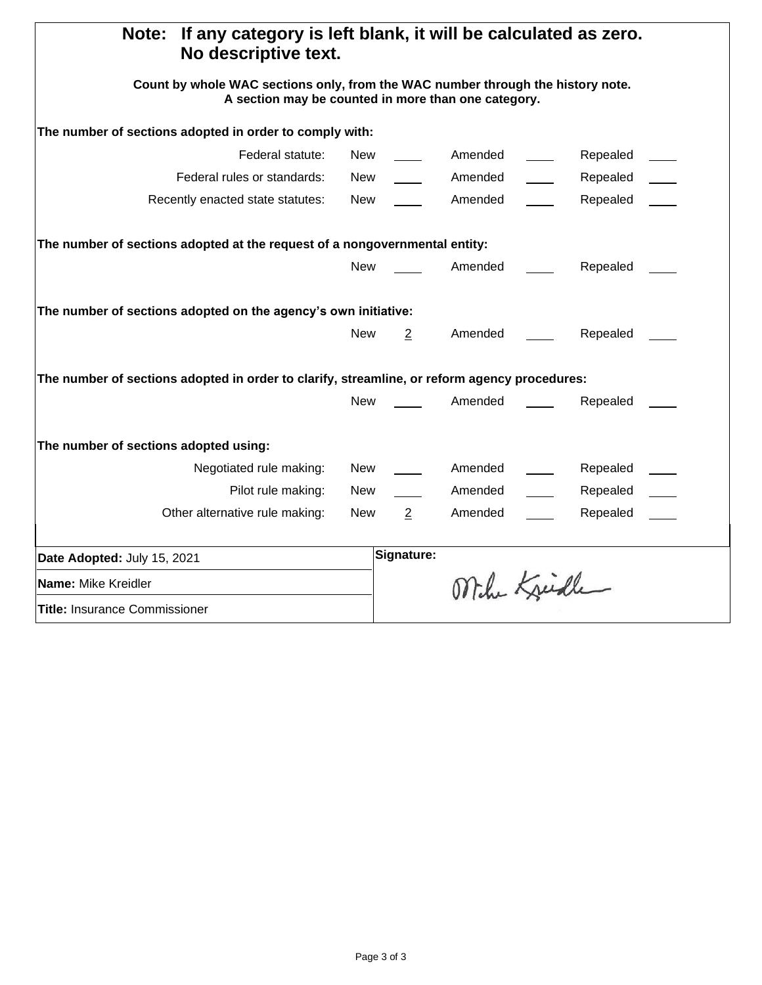| If any category is left blank, it will be calculated as zero.<br>Note:<br>No descriptive text.<br>Count by whole WAC sections only, from the WAC number through the history note.<br>A section may be counted in more than one category. |            |                |              |  |          |  |  |
|------------------------------------------------------------------------------------------------------------------------------------------------------------------------------------------------------------------------------------------|------------|----------------|--------------|--|----------|--|--|
|                                                                                                                                                                                                                                          |            |                |              |  |          |  |  |
| Federal statute:                                                                                                                                                                                                                         | New        |                | Amended      |  | Repealed |  |  |
| Federal rules or standards:                                                                                                                                                                                                              | New        |                | Amended      |  | Repealed |  |  |
| Recently enacted state statutes:                                                                                                                                                                                                         | New        |                | Amended      |  | Repealed |  |  |
| The number of sections adopted at the request of a nongovernmental entity:                                                                                                                                                               |            |                |              |  |          |  |  |
|                                                                                                                                                                                                                                          | <b>New</b> |                | Amended      |  | Repealed |  |  |
| The number of sections adopted on the agency's own initiative:                                                                                                                                                                           |            |                |              |  |          |  |  |
|                                                                                                                                                                                                                                          | <b>New</b> | $\overline{2}$ | Amended      |  | Repealed |  |  |
| The number of sections adopted in order to clarify, streamline, or reform agency procedures:                                                                                                                                             |            |                |              |  |          |  |  |
|                                                                                                                                                                                                                                          | <b>New</b> |                | Amended      |  | Repealed |  |  |
| The number of sections adopted using:                                                                                                                                                                                                    |            |                |              |  |          |  |  |
| Negotiated rule making:                                                                                                                                                                                                                  | <b>New</b> |                | Amended      |  | Repealed |  |  |
| Pilot rule making:                                                                                                                                                                                                                       | New        |                | Amended      |  | Repealed |  |  |
| Other alternative rule making:                                                                                                                                                                                                           | New        | $\overline{2}$ | Amended      |  | Repealed |  |  |
| Date Adopted: July 15, 2021                                                                                                                                                                                                              |            | Signature:     |              |  |          |  |  |
| Name: Mike Kreidler                                                                                                                                                                                                                      |            |                | Mihr Kreidle |  |          |  |  |
| <b>Title: Insurance Commissioner</b>                                                                                                                                                                                                     |            |                |              |  |          |  |  |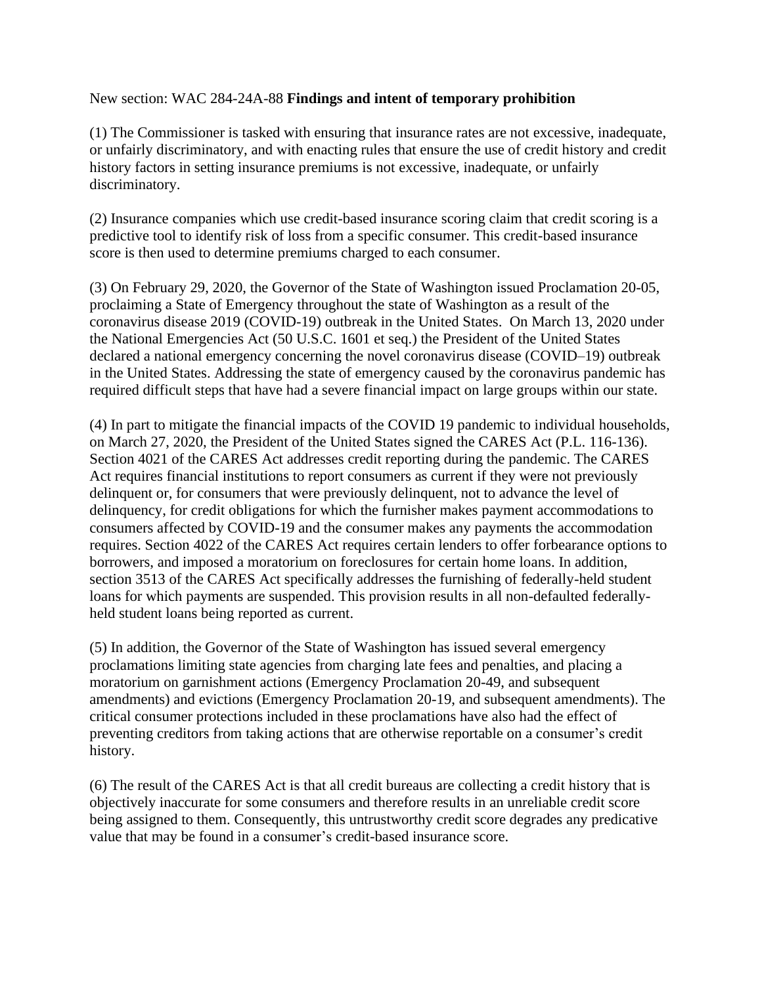#### New section: WAC 284-24A-88 **Findings and intent of temporary prohibition**

(1) The Commissioner is tasked with ensuring that insurance rates are not excessive, inadequate, or unfairly discriminatory, and with enacting rules that ensure the use of credit history and credit history factors in setting insurance premiums is not excessive, inadequate, or unfairly discriminatory.

(2) Insurance companies which use credit-based insurance scoring claim that credit scoring is a predictive tool to identify risk of loss from a specific consumer. This credit-based insurance score is then used to determine premiums charged to each consumer.

(3) On February 29, 2020, the Governor of the State of Washington issued Proclamation 20-05, proclaiming a State of Emergency throughout the state of Washington as a result of the coronavirus disease 2019 (COVID-19) outbreak in the United States. On March 13, 2020 under the National Emergencies Act (50 U.S.C. 1601 et seq.) the President of the United States declared a national emergency concerning the novel coronavirus disease (COVID–19) outbreak in the United States. Addressing the state of emergency caused by the coronavirus pandemic has required difficult steps that have had a severe financial impact on large groups within our state.

(4) In part to mitigate the financial impacts of the COVID 19 pandemic to individual households, on March 27, 2020, the President of the United States signed the CARES Act (P.L. 116-136). Section 4021 of the CARES Act addresses credit reporting during the pandemic. The CARES Act requires financial institutions to report consumers as current if they were not previously delinquent or, for consumers that were previously delinquent, not to advance the level of delinquency, for credit obligations for which the furnisher makes payment accommodations to consumers affected by COVID-19 and the consumer makes any payments the accommodation requires. Section 4022 of the CARES Act requires certain lenders to offer forbearance options to borrowers, and imposed a moratorium on foreclosures for certain home loans. In addition, section 3513 of the CARES Act specifically addresses the furnishing of federally-held student loans for which payments are suspended. This provision results in all non-defaulted federallyheld student loans being reported as current.

(5) In addition, the Governor of the State of Washington has issued several emergency proclamations limiting state agencies from charging late fees and penalties, and placing a moratorium on garnishment actions (Emergency Proclamation 20-49, and subsequent amendments) and evictions (Emergency Proclamation 20-19, and subsequent amendments). The critical consumer protections included in these proclamations have also had the effect of preventing creditors from taking actions that are otherwise reportable on a consumer's credit history.

(6) The result of the CARES Act is that all credit bureaus are collecting a credit history that is objectively inaccurate for some consumers and therefore results in an unreliable credit score being assigned to them. Consequently, this untrustworthy credit score degrades any predicative value that may be found in a consumer's credit-based insurance score.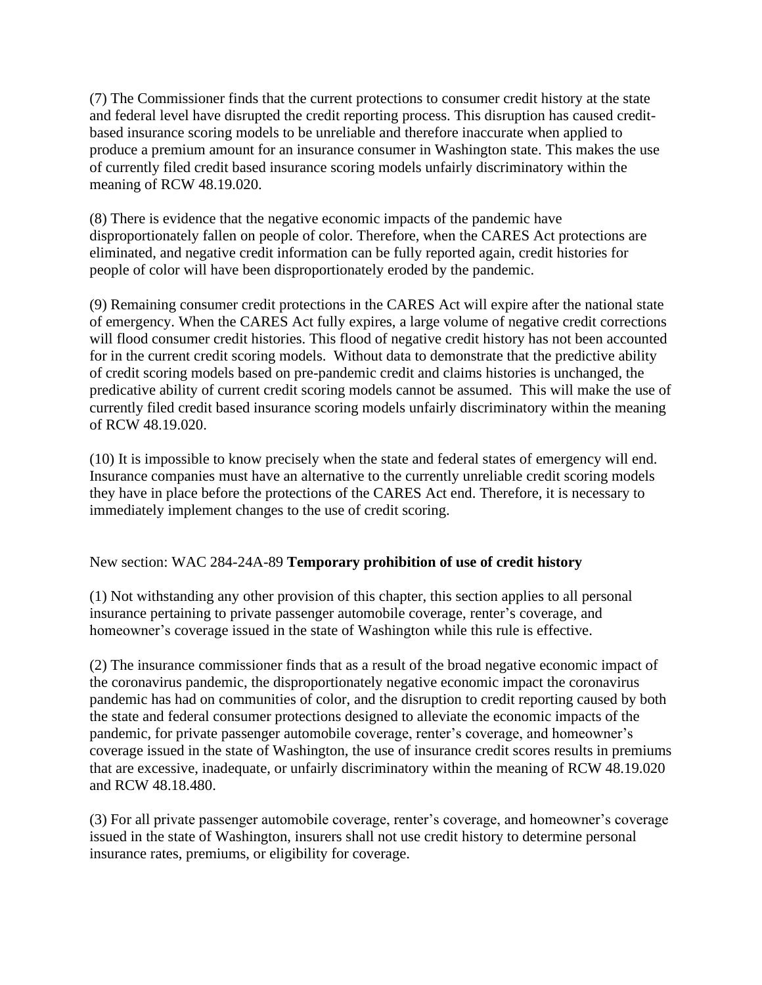(7) The Commissioner finds that the current protections to consumer credit history at the state and federal level have disrupted the credit reporting process. This disruption has caused creditbased insurance scoring models to be unreliable and therefore inaccurate when applied to produce a premium amount for an insurance consumer in Washington state. This makes the use of currently filed credit based insurance scoring models unfairly discriminatory within the meaning of RCW 48.19.020.

 (8) There is evidence that the negative economic impacts of the pandemic have disproportionately fallen on people of color. Therefore, when the CARES Act protections are eliminated, and negative credit information can be fully reported again, credit histories for people of color will have been disproportionately eroded by the pandemic.

(9) Remaining consumer credit protections in the CARES Act will expire after the national state of emergency. When the CARES Act fully expires, a large volume of negative credit corrections will flood consumer credit histories. This flood of negative credit history has not been accounted for in the current credit scoring models. Without data to demonstrate that the predictive ability of credit scoring models based on pre-pandemic credit and claims histories is unchanged, the predicative ability of current credit scoring models cannot be assumed. This will make the use of currently filed credit based insurance scoring models unfairly discriminatory within the meaning of RCW 48.19.020.

(10) It is impossible to know precisely when the state and federal states of emergency will end. Insurance companies must have an alternative to the currently unreliable credit scoring models they have in place before the protections of the CARES Act end. Therefore, it is necessary to immediately implement changes to the use of credit scoring.

### New section: WAC 284-24A-89 **Temporary prohibition of use of credit history**

(1) Not withstanding any other provision of this chapter, this section applies to all personal insurance pertaining to private passenger automobile coverage, renter's coverage, and homeowner's coverage issued in the state of Washington while this rule is effective.

(2) The insurance commissioner finds that as a result of the broad negative economic impact of the coronavirus pandemic, the disproportionately negative economic impact the coronavirus pandemic has had on communities of color, and the disruption to credit reporting caused by both the state and federal consumer protections designed to alleviate the economic impacts of the pandemic, for private passenger automobile coverage, renter's coverage, and homeowner's coverage issued in the state of Washington, the use of insurance credit scores results in premiums that are excessive, inadequate, or unfairly discriminatory within the meaning of RCW 48.19.020 and RCW 48.18.480.

(3) For all private passenger automobile coverage, renter's coverage, and homeowner's coverage issued in the state of Washington, insurers shall not use credit history to determine personal insurance rates, premiums, or eligibility for coverage.